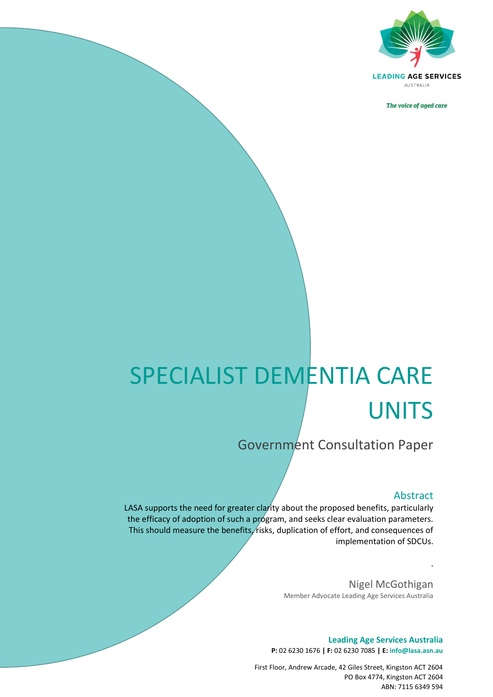

The voice of aged care

## SPECIALIST DEMENTIA CARE **UNITS**

Government Consultation Paper

## Abstract

.

LASA supports the need for greater clarity about the proposed benefits, particularly the efficacy of adoption of such a program, and seeks clear evaluation parameters. This should measure the benefits, risks, duplication of effort, and consequences of implementation of SDCUs.

*The voice of aged care*

Nigel McGothigan Member Advocate Leading Age Services Australia

**Leading Age Services Australia P:** 02 6230 1676 **| F:** 02 6230 7085 **| E: info@lasa.asn.au**

First Floor, Andrew Arcade, 42 Giles Street, Kingston ACT 2604 PO Box 4774, Kingston ACT 2604 ABN: 7115 6349 594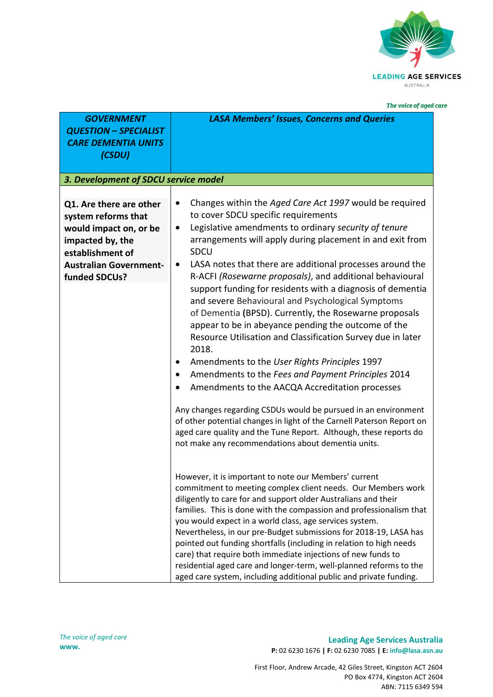

The voice of aged care

| <b>GOVERNMENT</b><br><b>QUESTION - SPECIALIST</b><br><b>CARE DEMENTIA UNITS</b><br>(CSDU)                                                                          | <b>LASA Members' Issues, Concerns and Queries</b>                                                                                                                                                                                                                                                                                                                                                                                                                                                                                                                                                                                                                                                                                                                                                                                                                                                                                                                                                                                                                                                                                                                                                                                                                                                                                                                                                                                                                                                                                                                                                                                                                                                                                               |
|--------------------------------------------------------------------------------------------------------------------------------------------------------------------|-------------------------------------------------------------------------------------------------------------------------------------------------------------------------------------------------------------------------------------------------------------------------------------------------------------------------------------------------------------------------------------------------------------------------------------------------------------------------------------------------------------------------------------------------------------------------------------------------------------------------------------------------------------------------------------------------------------------------------------------------------------------------------------------------------------------------------------------------------------------------------------------------------------------------------------------------------------------------------------------------------------------------------------------------------------------------------------------------------------------------------------------------------------------------------------------------------------------------------------------------------------------------------------------------------------------------------------------------------------------------------------------------------------------------------------------------------------------------------------------------------------------------------------------------------------------------------------------------------------------------------------------------------------------------------------------------------------------------------------------------|
| 3. Development of SDCU service model                                                                                                                               |                                                                                                                                                                                                                                                                                                                                                                                                                                                                                                                                                                                                                                                                                                                                                                                                                                                                                                                                                                                                                                                                                                                                                                                                                                                                                                                                                                                                                                                                                                                                                                                                                                                                                                                                                 |
| Q1. Are there are other<br>system reforms that<br>would impact on, or be<br>impacted by, the<br>establishment of<br><b>Australian Government-</b><br>funded SDCUs? | Changes within the Aged Care Act 1997 would be required<br>٠<br>to cover SDCU specific requirements<br>Legislative amendments to ordinary security of tenure<br>$\bullet$<br>arrangements will apply during placement in and exit from<br>SDCU<br>LASA notes that there are additional processes around the<br>$\bullet$<br>R-ACFI (Rosewarne proposals), and additional behavioural<br>support funding for residents with a diagnosis of dementia<br>and severe Behavioural and Psychological Symptoms<br>of Dementia (BPSD). Currently, the Rosewarne proposals<br>appear to be in abeyance pending the outcome of the<br>Resource Utilisation and Classification Survey due in later<br>2018.<br>Amendments to the User Rights Principles 1997<br>Amendments to the Fees and Payment Principles 2014<br>Amendments to the AACQA Accreditation processes<br>Any changes regarding CSDUs would be pursued in an environment<br>of other potential changes in light of the Carnell Paterson Report on<br>aged care quality and the Tune Report. Although, these reports do<br>not make any recommendations about dementia units.<br>However, it is important to note our Members' current<br>commitment to meeting complex client needs. Our Members work<br>diligently to care for and support older Australians and their<br>families. This is done with the compassion and professionalism that<br>you would expect in a world class, age services system.<br>Nevertheless, in our pre-Budget submissions for 2018-19, LASA has<br>pointed out funding shortfalls (including in relation to high needs<br>care) that require both immediate injections of new funds to<br>residential aged care and longer-term, well-planned reforms to the |

**Leading Age Services Australia P:** 02 6230 1676 **| F:** 02 6230 7085 **| E: info@lasa.asn.au**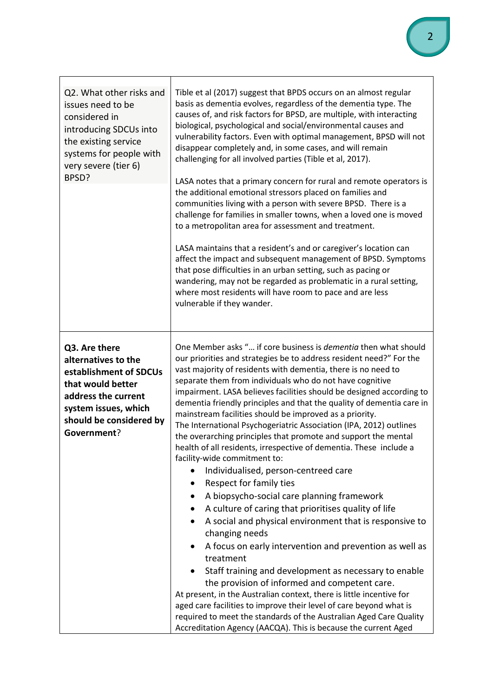| Q2. What other risks and<br>issues need to be<br>considered in<br>introducing SDCUs into<br>the existing service<br>systems for people with<br>very severe (tier 6)<br>BPSD? | Tible et al (2017) suggest that BPDS occurs on an almost regular<br>basis as dementia evolves, regardless of the dementia type. The<br>causes of, and risk factors for BPSD, are multiple, with interacting<br>biological, psychological and social/environmental causes and<br>vulnerability factors. Even with optimal management, BPSD will not<br>disappear completely and, in some cases, and will remain<br>challenging for all involved parties (Tible et al, 2017).<br>LASA notes that a primary concern for rural and remote operators is<br>the additional emotional stressors placed on families and<br>communities living with a person with severe BPSD. There is a<br>challenge for families in smaller towns, when a loved one is moved<br>to a metropolitan area for assessment and treatment.<br>LASA maintains that a resident's and or caregiver's location can<br>affect the impact and subsequent management of BPSD. Symptoms<br>that pose difficulties in an urban setting, such as pacing or<br>wandering, may not be regarded as problematic in a rural setting,<br>where most residents will have room to pace and are less<br>vulnerable if they wander.                                                                                                                                                                                                                                                                                      |
|------------------------------------------------------------------------------------------------------------------------------------------------------------------------------|--------------------------------------------------------------------------------------------------------------------------------------------------------------------------------------------------------------------------------------------------------------------------------------------------------------------------------------------------------------------------------------------------------------------------------------------------------------------------------------------------------------------------------------------------------------------------------------------------------------------------------------------------------------------------------------------------------------------------------------------------------------------------------------------------------------------------------------------------------------------------------------------------------------------------------------------------------------------------------------------------------------------------------------------------------------------------------------------------------------------------------------------------------------------------------------------------------------------------------------------------------------------------------------------------------------------------------------------------------------------------------------------------------------------------------------------------------------------------|
| Q3. Are there<br>alternatives to the<br>establishment of SDCUs<br>that would better<br>address the current<br>system issues, which<br>should be considered by<br>Government? | One Member asks " if core business is dementia then what should<br>our priorities and strategies be to address resident need?" For the<br>vast majority of residents with dementia, there is no need to<br>separate them from individuals who do not have cognitive<br>impairment. LASA believes facilities should be designed according to<br>dementia friendly principles and that the quality of dementia care in<br>mainstream facilities should be improved as a priority.<br>The International Psychogeriatric Association (IPA, 2012) outlines<br>the overarching principles that promote and support the mental<br>health of all residents, irrespective of dementia. These include a<br>facility-wide commitment to:<br>Individualised, person-centreed care<br>$\bullet$<br>Respect for family ties<br>A biopsycho-social care planning framework<br>A culture of caring that prioritises quality of life<br>A social and physical environment that is responsive to<br>changing needs<br>A focus on early intervention and prevention as well as<br>treatment<br>Staff training and development as necessary to enable<br>the provision of informed and competent care.<br>At present, in the Australian context, there is little incentive for<br>aged care facilities to improve their level of care beyond what is<br>required to meet the standards of the Australian Aged Care Quality<br>Accreditation Agency (AACQA). This is because the current Aged |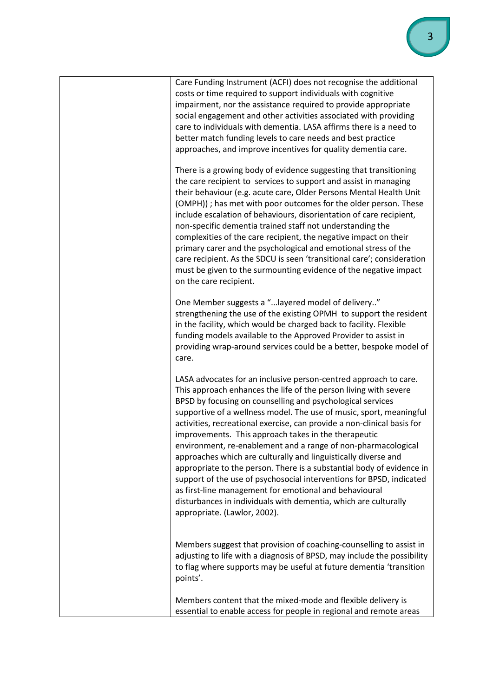| Care Funding Instrument (ACFI) does not recognise the additional<br>costs or time required to support individuals with cognitive<br>impairment, nor the assistance required to provide appropriate<br>social engagement and other activities associated with providing<br>care to individuals with dementia. LASA affirms there is a need to<br>better match funding levels to care needs and best practice<br>approaches, and improve incentives for quality dementia care.                                                                                                                                                                                                                                                                                                                                                                                  |
|---------------------------------------------------------------------------------------------------------------------------------------------------------------------------------------------------------------------------------------------------------------------------------------------------------------------------------------------------------------------------------------------------------------------------------------------------------------------------------------------------------------------------------------------------------------------------------------------------------------------------------------------------------------------------------------------------------------------------------------------------------------------------------------------------------------------------------------------------------------|
| There is a growing body of evidence suggesting that transitioning<br>the care recipient to services to support and assist in managing<br>their behaviour (e.g. acute care, Older Persons Mental Health Unit<br>(OMPH)) ; has met with poor outcomes for the older person. These<br>include escalation of behaviours, disorientation of care recipient,<br>non-specific dementia trained staff not understanding the<br>complexities of the care recipient, the negative impact on their<br>primary carer and the psychological and emotional stress of the<br>care recipient. As the SDCU is seen 'transitional care'; consideration<br>must be given to the surmounting evidence of the negative impact<br>on the care recipient.                                                                                                                            |
| One Member suggests a "layered model of delivery"<br>strengthening the use of the existing OPMH to support the resident<br>in the facility, which would be charged back to facility. Flexible<br>funding models available to the Approved Provider to assist in<br>providing wrap-around services could be a better, bespoke model of<br>care.                                                                                                                                                                                                                                                                                                                                                                                                                                                                                                                |
| LASA advocates for an inclusive person-centred approach to care.<br>This approach enhances the life of the person living with severe<br>BPSD by focusing on counselling and psychological services<br>supportive of a wellness model. The use of music, sport, meaningful<br>activities, recreational exercise, can provide a non-clinical basis for<br>improvements. This approach takes in the therapeutic<br>environment, re-enablement and a range of non-pharmacological<br>approaches which are culturally and linguistically diverse and<br>appropriate to the person. There is a substantial body of evidence in<br>support of the use of psychosocial interventions for BPSD, indicated<br>as first-line management for emotional and behavioural<br>disturbances in individuals with dementia, which are culturally<br>appropriate. (Lawlor, 2002). |
| Members suggest that provision of coaching-counselling to assist in<br>adjusting to life with a diagnosis of BPSD, may include the possibility<br>to flag where supports may be useful at future dementia 'transition<br>points'.                                                                                                                                                                                                                                                                                                                                                                                                                                                                                                                                                                                                                             |
| Members content that the mixed-mode and flexible delivery is<br>essential to enable access for people in regional and remote areas                                                                                                                                                                                                                                                                                                                                                                                                                                                                                                                                                                                                                                                                                                                            |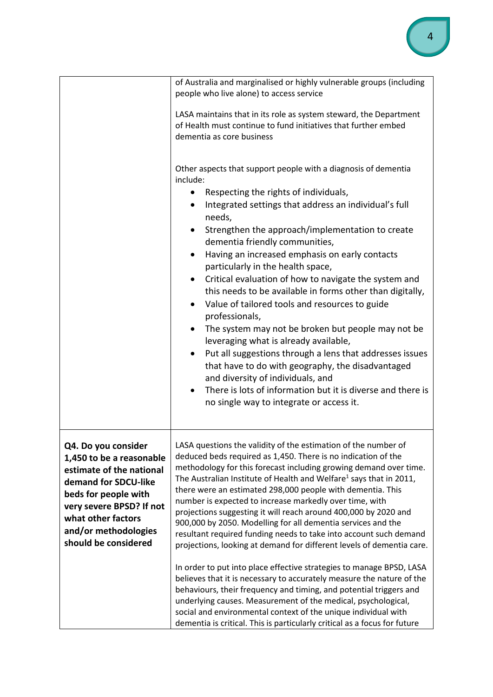|                                                                                                                                                                                                                               | of Australia and marginalised or highly vulnerable groups (including<br>people who live alone) to access service                                                                                                                                                                                                                                                                                                                                                                                                                                                                                                                                                                                                                                                                                                                                                                                                                                                                                                                                                                                                                        |
|-------------------------------------------------------------------------------------------------------------------------------------------------------------------------------------------------------------------------------|-----------------------------------------------------------------------------------------------------------------------------------------------------------------------------------------------------------------------------------------------------------------------------------------------------------------------------------------------------------------------------------------------------------------------------------------------------------------------------------------------------------------------------------------------------------------------------------------------------------------------------------------------------------------------------------------------------------------------------------------------------------------------------------------------------------------------------------------------------------------------------------------------------------------------------------------------------------------------------------------------------------------------------------------------------------------------------------------------------------------------------------------|
|                                                                                                                                                                                                                               | LASA maintains that in its role as system steward, the Department<br>of Health must continue to fund initiatives that further embed<br>dementia as core business                                                                                                                                                                                                                                                                                                                                                                                                                                                                                                                                                                                                                                                                                                                                                                                                                                                                                                                                                                        |
|                                                                                                                                                                                                                               | Other aspects that support people with a diagnosis of dementia<br>include:<br>Respecting the rights of individuals,<br>Integrated settings that address an individual's full<br>needs,<br>Strengthen the approach/implementation to create<br>dementia friendly communities,<br>Having an increased emphasis on early contacts<br>particularly in the health space,<br>Critical evaluation of how to navigate the system and<br>this needs to be available in forms other than digitally,<br>• Value of tailored tools and resources to guide<br>professionals,<br>The system may not be broken but people may not be<br>$\bullet$<br>leveraging what is already available,<br>Put all suggestions through a lens that addresses issues<br>that have to do with geography, the disadvantaged<br>and diversity of individuals, and<br>There is lots of information but it is diverse and there is<br>$\bullet$<br>no single way to integrate or access it.                                                                                                                                                                               |
| Q4. Do you consider<br>1,450 to be a reasonable<br>estimate of the national<br>demand for SDCU-like<br>beds for people with<br>very severe BPSD? If not<br>what other factors<br>and/or methodologies<br>should be considered | LASA questions the validity of the estimation of the number of<br>deduced beds required as 1,450. There is no indication of the<br>methodology for this forecast including growing demand over time.<br>The Australian Institute of Health and Welfare <sup>1</sup> says that in 2011,<br>there were an estimated 298,000 people with dementia. This<br>number is expected to increase markedly over time, with<br>projections suggesting it will reach around 400,000 by 2020 and<br>900,000 by 2050. Modelling for all dementia services and the<br>resultant required funding needs to take into account such demand<br>projections, looking at demand for different levels of dementia care.<br>In order to put into place effective strategies to manage BPSD, LASA<br>believes that it is necessary to accurately measure the nature of the<br>behaviours, their frequency and timing, and potential triggers and<br>underlying causes. Measurement of the medical, psychological,<br>social and environmental context of the unique individual with<br>dementia is critical. This is particularly critical as a focus for future |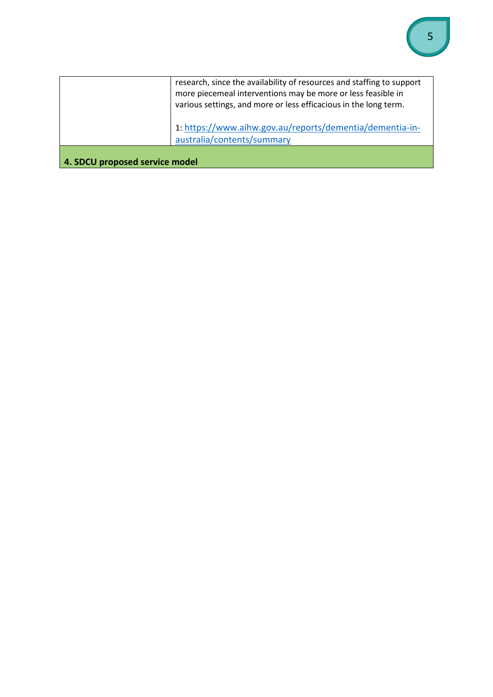|                                | research, since the availability of resources and staffing to support<br>more piecemeal interventions may be more or less feasible in<br>various settings, and more or less efficacious in the long term. |
|--------------------------------|-----------------------------------------------------------------------------------------------------------------------------------------------------------------------------------------------------------|
|                                | 1: https://www.aihw.gov.au/reports/dementia/dementia-in-<br>australia/contents/summary                                                                                                                    |
| 4. SDCU proposed service model |                                                                                                                                                                                                           |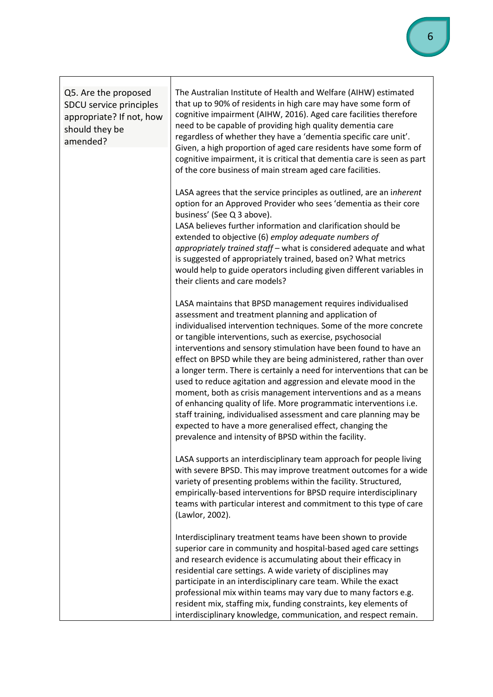| Q5. Are the proposed<br>SDCU service principles<br>appropriate? If not, how<br>should they be<br>amended? | The Australian Institute of Health and Welfare (AIHW) estimated<br>that up to 90% of residents in high care may have some form of<br>cognitive impairment (AIHW, 2016). Aged care facilities therefore<br>need to be capable of providing high quality dementia care<br>regardless of whether they have a 'dementia specific care unit'.<br>Given, a high proportion of aged care residents have some form of<br>cognitive impairment, it is critical that dementia care is seen as part<br>of the core business of main stream aged care facilities.                                                                                                                                                                                                                                                                                                                           |
|-----------------------------------------------------------------------------------------------------------|---------------------------------------------------------------------------------------------------------------------------------------------------------------------------------------------------------------------------------------------------------------------------------------------------------------------------------------------------------------------------------------------------------------------------------------------------------------------------------------------------------------------------------------------------------------------------------------------------------------------------------------------------------------------------------------------------------------------------------------------------------------------------------------------------------------------------------------------------------------------------------|
|                                                                                                           | LASA agrees that the service principles as outlined, are an inherent<br>option for an Approved Provider who sees 'dementia as their core<br>business' (See Q 3 above).<br>LASA believes further information and clarification should be<br>extended to objective (6) employ adequate numbers of<br>appropriately trained staff - what is considered adequate and what<br>is suggested of appropriately trained, based on? What metrics<br>would help to guide operators including given different variables in<br>their clients and care models?                                                                                                                                                                                                                                                                                                                                |
|                                                                                                           | LASA maintains that BPSD management requires individualised<br>assessment and treatment planning and application of<br>individualised intervention techniques. Some of the more concrete<br>or tangible interventions, such as exercise, psychosocial<br>interventions and sensory stimulation have been found to have an<br>effect on BPSD while they are being administered, rather than over<br>a longer term. There is certainly a need for interventions that can be<br>used to reduce agitation and aggression and elevate mood in the<br>moment, both as crisis management interventions and as a means<br>of enhancing quality of life. More programmatic interventions i.e.<br>staff training, individualised assessment and care planning may be<br>expected to have a more generalised effect, changing the<br>prevalence and intensity of BPSD within the facility. |
|                                                                                                           | LASA supports an interdisciplinary team approach for people living<br>with severe BPSD. This may improve treatment outcomes for a wide<br>variety of presenting problems within the facility. Structured,<br>empirically-based interventions for BPSD require interdisciplinary<br>teams with particular interest and commitment to this type of care<br>(Lawlor, 2002).                                                                                                                                                                                                                                                                                                                                                                                                                                                                                                        |
|                                                                                                           | Interdisciplinary treatment teams have been shown to provide<br>superior care in community and hospital-based aged care settings<br>and research evidence is accumulating about their efficacy in<br>residential care settings. A wide variety of disciplines may<br>participate in an interdisciplinary care team. While the exact<br>professional mix within teams may vary due to many factors e.g.<br>resident mix, staffing mix, funding constraints, key elements of<br>interdisciplinary knowledge, communication, and respect remain.                                                                                                                                                                                                                                                                                                                                   |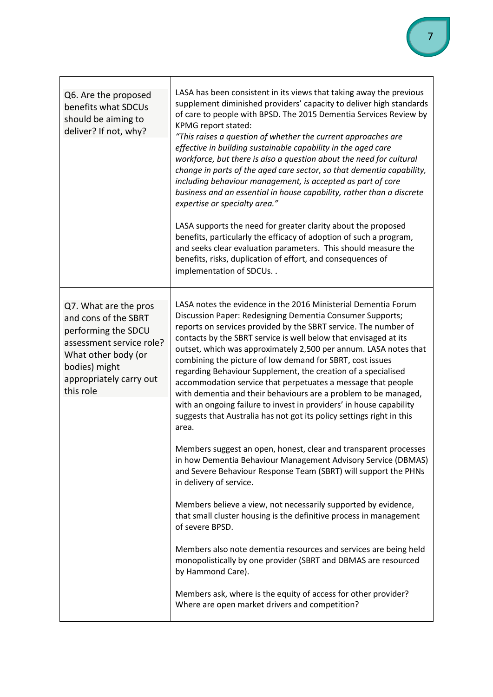| Q6. Are the proposed<br>benefits what SDCUs<br>should be aiming to<br>deliver? If not, why?                                                                                      | LASA has been consistent in its views that taking away the previous<br>supplement diminished providers' capacity to deliver high standards<br>of care to people with BPSD. The 2015 Dementia Services Review by<br>KPMG report stated:<br>"This raises a question of whether the current approaches are<br>effective in building sustainable capability in the aged care<br>workforce, but there is also a question about the need for cultural<br>change in parts of the aged care sector, so that dementia capability,<br>including behaviour management, is accepted as part of core<br>business and an essential in house capability, rather than a discrete<br>expertise or specialty area."<br>LASA supports the need for greater clarity about the proposed<br>benefits, particularly the efficacy of adoption of such a program,<br>and seeks clear evaluation parameters. This should measure the<br>benefits, risks, duplication of effort, and consequences of<br>implementation of SDCUs |
|----------------------------------------------------------------------------------------------------------------------------------------------------------------------------------|------------------------------------------------------------------------------------------------------------------------------------------------------------------------------------------------------------------------------------------------------------------------------------------------------------------------------------------------------------------------------------------------------------------------------------------------------------------------------------------------------------------------------------------------------------------------------------------------------------------------------------------------------------------------------------------------------------------------------------------------------------------------------------------------------------------------------------------------------------------------------------------------------------------------------------------------------------------------------------------------------|
| Q7. What are the pros<br>and cons of the SBRT<br>performing the SDCU<br>assessment service role?<br>What other body (or<br>bodies) might<br>appropriately carry out<br>this role | LASA notes the evidence in the 2016 Ministerial Dementia Forum<br>Discussion Paper: Redesigning Dementia Consumer Supports;<br>reports on services provided by the SBRT service. The number of<br>contacts by the SBRT service is well below that envisaged at its<br>outset, which was approximately 2,500 per annum. LASA notes that<br>combining the picture of low demand for SBRT, cost issues<br>regarding Behaviour Supplement, the creation of a specialised<br>accommodation service that perpetuates a message that people<br>with dementia and their behaviours are a problem to be managed,<br>with an ongoing failure to invest in providers' in house capability<br>suggests that Australia has not got its policy settings right in this<br>area.                                                                                                                                                                                                                                     |
|                                                                                                                                                                                  | Members suggest an open, honest, clear and transparent processes<br>in how Dementia Behaviour Management Advisory Service (DBMAS)<br>and Severe Behaviour Response Team (SBRT) will support the PHNs<br>in delivery of service.                                                                                                                                                                                                                                                                                                                                                                                                                                                                                                                                                                                                                                                                                                                                                                      |
|                                                                                                                                                                                  | Members believe a view, not necessarily supported by evidence,<br>that small cluster housing is the definitive process in management<br>of severe BPSD.                                                                                                                                                                                                                                                                                                                                                                                                                                                                                                                                                                                                                                                                                                                                                                                                                                              |
|                                                                                                                                                                                  | Members also note dementia resources and services are being held<br>monopolistically by one provider (SBRT and DBMAS are resourced<br>by Hammond Care).                                                                                                                                                                                                                                                                                                                                                                                                                                                                                                                                                                                                                                                                                                                                                                                                                                              |
|                                                                                                                                                                                  | Members ask, where is the equity of access for other provider?<br>Where are open market drivers and competition?                                                                                                                                                                                                                                                                                                                                                                                                                                                                                                                                                                                                                                                                                                                                                                                                                                                                                     |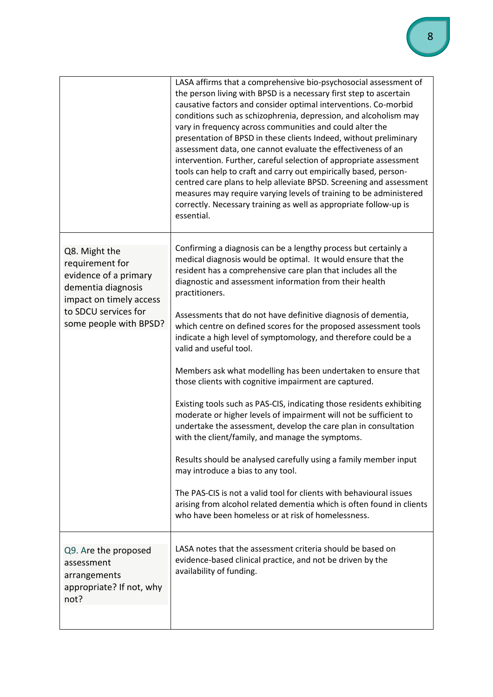|                                                                                                                                                              | LASA affirms that a comprehensive bio-psychosocial assessment of<br>the person living with BPSD is a necessary first step to ascertain<br>causative factors and consider optimal interventions. Co-morbid<br>conditions such as schizophrenia, depression, and alcoholism may<br>vary in frequency across communities and could alter the<br>presentation of BPSD in these clients Indeed, without preliminary<br>assessment data, one cannot evaluate the effectiveness of an<br>intervention. Further, careful selection of appropriate assessment<br>tools can help to craft and carry out empirically based, person-<br>centred care plans to help alleviate BPSD. Screening and assessment<br>measures may require varying levels of training to be administered<br>correctly. Necessary training as well as appropriate follow-up is<br>essential. |
|--------------------------------------------------------------------------------------------------------------------------------------------------------------|----------------------------------------------------------------------------------------------------------------------------------------------------------------------------------------------------------------------------------------------------------------------------------------------------------------------------------------------------------------------------------------------------------------------------------------------------------------------------------------------------------------------------------------------------------------------------------------------------------------------------------------------------------------------------------------------------------------------------------------------------------------------------------------------------------------------------------------------------------|
| Q8. Might the<br>requirement for<br>evidence of a primary<br>dementia diagnosis<br>impact on timely access<br>to SDCU services for<br>some people with BPSD? | Confirming a diagnosis can be a lengthy process but certainly a<br>medical diagnosis would be optimal. It would ensure that the<br>resident has a comprehensive care plan that includes all the<br>diagnostic and assessment information from their health<br>practitioners.                                                                                                                                                                                                                                                                                                                                                                                                                                                                                                                                                                             |
|                                                                                                                                                              | Assessments that do not have definitive diagnosis of dementia,<br>which centre on defined scores for the proposed assessment tools<br>indicate a high level of symptomology, and therefore could be a<br>valid and useful tool.                                                                                                                                                                                                                                                                                                                                                                                                                                                                                                                                                                                                                          |
|                                                                                                                                                              | Members ask what modelling has been undertaken to ensure that<br>those clients with cognitive impairment are captured.                                                                                                                                                                                                                                                                                                                                                                                                                                                                                                                                                                                                                                                                                                                                   |
|                                                                                                                                                              | Existing tools such as PAS-CIS, indicating those residents exhibiting<br>moderate or higher levels of impairment will not be sufficient to<br>undertake the assessment, develop the care plan in consultation<br>with the client/family, and manage the symptoms.                                                                                                                                                                                                                                                                                                                                                                                                                                                                                                                                                                                        |
|                                                                                                                                                              | Results should be analysed carefully using a family member input<br>may introduce a bias to any tool.                                                                                                                                                                                                                                                                                                                                                                                                                                                                                                                                                                                                                                                                                                                                                    |
|                                                                                                                                                              | The PAS-CIS is not a valid tool for clients with behavioural issues<br>arising from alcohol related dementia which is often found in clients<br>who have been homeless or at risk of homelessness.                                                                                                                                                                                                                                                                                                                                                                                                                                                                                                                                                                                                                                                       |
| Q9. Are the proposed<br>assessment<br>arrangements<br>appropriate? If not, why<br>not?                                                                       | LASA notes that the assessment criteria should be based on<br>evidence-based clinical practice, and not be driven by the<br>availability of funding.                                                                                                                                                                                                                                                                                                                                                                                                                                                                                                                                                                                                                                                                                                     |
|                                                                                                                                                              |                                                                                                                                                                                                                                                                                                                                                                                                                                                                                                                                                                                                                                                                                                                                                                                                                                                          |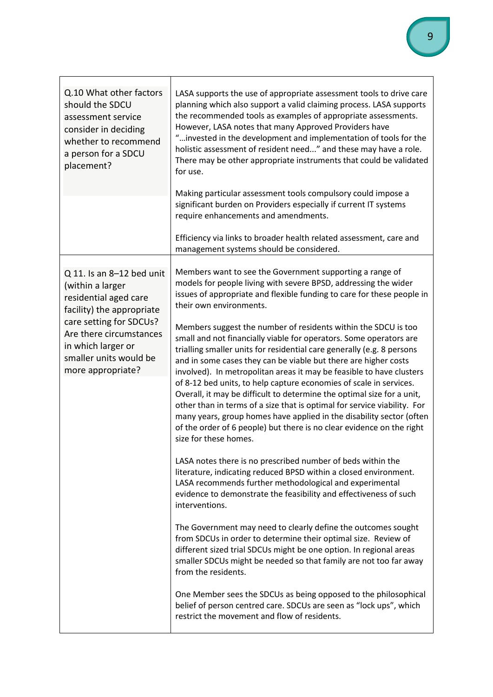| Q.10 What other factors<br>should the SDCU<br>assessment service<br>consider in deciding<br>whether to recommend<br>a person for a SDCU<br>placement?                                                                          | LASA supports the use of appropriate assessment tools to drive care<br>planning which also support a valid claiming process. LASA supports<br>the recommended tools as examples of appropriate assessments.<br>However, LASA notes that many Approved Providers have<br>" invested in the development and implementation of tools for the<br>holistic assessment of resident need" and these may have a role.<br>There may be other appropriate instruments that could be validated<br>for use.<br>Making particular assessment tools compulsory could impose a<br>significant burden on Providers especially if current IT systems<br>require enhancements and amendments.                                                                                                                                                                                                                                                                                                                                                                                                                                                                                                                                                                                                                                                                                                                                                                                                                                                                                                                   |
|--------------------------------------------------------------------------------------------------------------------------------------------------------------------------------------------------------------------------------|-----------------------------------------------------------------------------------------------------------------------------------------------------------------------------------------------------------------------------------------------------------------------------------------------------------------------------------------------------------------------------------------------------------------------------------------------------------------------------------------------------------------------------------------------------------------------------------------------------------------------------------------------------------------------------------------------------------------------------------------------------------------------------------------------------------------------------------------------------------------------------------------------------------------------------------------------------------------------------------------------------------------------------------------------------------------------------------------------------------------------------------------------------------------------------------------------------------------------------------------------------------------------------------------------------------------------------------------------------------------------------------------------------------------------------------------------------------------------------------------------------------------------------------------------------------------------------------------------|
|                                                                                                                                                                                                                                | Efficiency via links to broader health related assessment, care and<br>management systems should be considered.                                                                                                                                                                                                                                                                                                                                                                                                                                                                                                                                                                                                                                                                                                                                                                                                                                                                                                                                                                                                                                                                                                                                                                                                                                                                                                                                                                                                                                                                               |
| Q 11. Is an 8-12 bed unit<br>(within a larger<br>residential aged care<br>facility) the appropriate<br>care setting for SDCUs?<br>Are there circumstances<br>in which larger or<br>smaller units would be<br>more appropriate? | Members want to see the Government supporting a range of<br>models for people living with severe BPSD, addressing the wider<br>issues of appropriate and flexible funding to care for these people in<br>their own environments.<br>Members suggest the number of residents within the SDCU is too<br>small and not financially viable for operators. Some operators are<br>trialling smaller units for residential care generally (e.g. 8 persons<br>and in some cases they can be viable but there are higher costs<br>involved). In metropolitan areas it may be feasible to have clusters<br>of 8-12 bed units, to help capture economies of scale in services.<br>Overall, it may be difficult to determine the optimal size for a unit,<br>other than in terms of a size that is optimal for service viability. For<br>many years, group homes have applied in the disability sector (often<br>of the order of 6 people) but there is no clear evidence on the right<br>size for these homes.<br>LASA notes there is no prescribed number of beds within the<br>literature, indicating reduced BPSD within a closed environment.<br>LASA recommends further methodological and experimental<br>evidence to demonstrate the feasibility and effectiveness of such<br>interventions.<br>The Government may need to clearly define the outcomes sought<br>from SDCUs in order to determine their optimal size. Review of<br>different sized trial SDCUs might be one option. In regional areas<br>smaller SDCUs might be needed so that family are not too far away<br>from the residents. |
|                                                                                                                                                                                                                                | One Member sees the SDCUs as being opposed to the philosophical<br>belief of person centred care. SDCUs are seen as "lock ups", which<br>restrict the movement and flow of residents.                                                                                                                                                                                                                                                                                                                                                                                                                                                                                                                                                                                                                                                                                                                                                                                                                                                                                                                                                                                                                                                                                                                                                                                                                                                                                                                                                                                                         |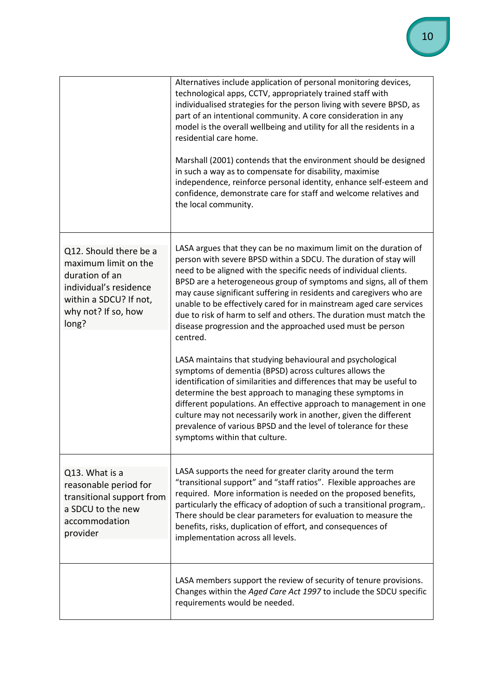|                                                                                                                                                      | Alternatives include application of personal monitoring devices,<br>technological apps, CCTV, appropriately trained staff with<br>individualised strategies for the person living with severe BPSD, as<br>part of an intentional community. A core consideration in any<br>model is the overall wellbeing and utility for all the residents in a<br>residential care home.<br>Marshall (2001) contends that the environment should be designed                                                                                                                                |
|------------------------------------------------------------------------------------------------------------------------------------------------------|-------------------------------------------------------------------------------------------------------------------------------------------------------------------------------------------------------------------------------------------------------------------------------------------------------------------------------------------------------------------------------------------------------------------------------------------------------------------------------------------------------------------------------------------------------------------------------|
|                                                                                                                                                      | in such a way as to compensate for disability, maximise<br>independence, reinforce personal identity, enhance self-esteem and<br>confidence, demonstrate care for staff and welcome relatives and<br>the local community.                                                                                                                                                                                                                                                                                                                                                     |
| Q12. Should there be a<br>maximum limit on the<br>duration of an<br>individual's residence<br>within a SDCU? If not,<br>why not? If so, how<br>long? | LASA argues that they can be no maximum limit on the duration of<br>person with severe BPSD within a SDCU. The duration of stay will<br>need to be aligned with the specific needs of individual clients.<br>BPSD are a heterogeneous group of symptoms and signs, all of them<br>may cause significant suffering in residents and caregivers who are<br>unable to be effectively cared for in mainstream aged care services<br>due to risk of harm to self and others. The duration must match the<br>disease progression and the approached used must be person<br>centred. |
|                                                                                                                                                      | LASA maintains that studying behavioural and psychological<br>symptoms of dementia (BPSD) across cultures allows the<br>identification of similarities and differences that may be useful to<br>determine the best approach to managing these symptoms in<br>different populations. An effective approach to management in one<br>culture may not necessarily work in another, given the different<br>prevalence of various BPSD and the level of tolerance for these<br>symptoms within that culture.                                                                        |
| Q13. What is a<br>reasonable period for<br>transitional support from<br>a SDCU to the new<br>accommodation<br>provider                               | LASA supports the need for greater clarity around the term<br>"transitional support" and "staff ratios". Flexible approaches are<br>required. More information is needed on the proposed benefits,<br>particularly the efficacy of adoption of such a transitional program,.<br>There should be clear parameters for evaluation to measure the<br>benefits, risks, duplication of effort, and consequences of<br>implementation across all levels.                                                                                                                            |
|                                                                                                                                                      | LASA members support the review of security of tenure provisions.<br>Changes within the Aged Care Act 1997 to include the SDCU specific<br>requirements would be needed.                                                                                                                                                                                                                                                                                                                                                                                                      |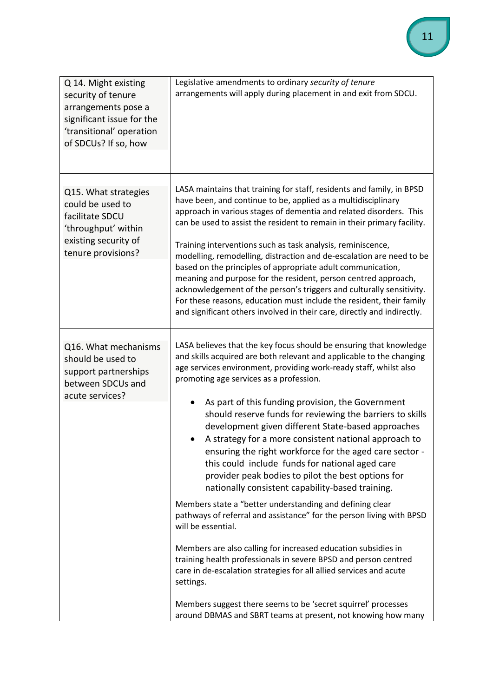| Q 14. Might existing<br>security of tenure<br>arrangements pose a<br>significant issue for the<br>'transitional' operation<br>of SDCUs? If so, how | Legislative amendments to ordinary security of tenure<br>arrangements will apply during placement in and exit from SDCU.                                                                                                                                                                                                                                                                                                                                                                                                                                                                                                                                                                                                                                                                                                                                                                                                                                                                                                                                                                                                                                                                                                              |
|----------------------------------------------------------------------------------------------------------------------------------------------------|---------------------------------------------------------------------------------------------------------------------------------------------------------------------------------------------------------------------------------------------------------------------------------------------------------------------------------------------------------------------------------------------------------------------------------------------------------------------------------------------------------------------------------------------------------------------------------------------------------------------------------------------------------------------------------------------------------------------------------------------------------------------------------------------------------------------------------------------------------------------------------------------------------------------------------------------------------------------------------------------------------------------------------------------------------------------------------------------------------------------------------------------------------------------------------------------------------------------------------------|
| Q15. What strategies<br>could be used to<br>facilitate SDCU<br>'throughput' within<br>existing security of<br>tenure provisions?                   | LASA maintains that training for staff, residents and family, in BPSD<br>have been, and continue to be, applied as a multidisciplinary<br>approach in various stages of dementia and related disorders. This<br>can be used to assist the resident to remain in their primary facility.<br>Training interventions such as task analysis, reminiscence,<br>modelling, remodelling, distraction and de-escalation are need to be<br>based on the principles of appropriate adult communication,<br>meaning and purpose for the resident, person centred approach,<br>acknowledgement of the person's triggers and culturally sensitivity.<br>For these reasons, education must include the resident, their family<br>and significant others involved in their care, directly and indirectly.                                                                                                                                                                                                                                                                                                                                                                                                                                            |
| Q16. What mechanisms<br>should be used to<br>support partnerships<br>between SDCUs and<br>acute services?                                          | LASA believes that the key focus should be ensuring that knowledge<br>and skills acquired are both relevant and applicable to the changing<br>age services environment, providing work-ready staff, whilst also<br>promoting age services as a profession.<br>As part of this funding provision, the Government<br>should reserve funds for reviewing the barriers to skills<br>development given different State-based approaches<br>A strategy for a more consistent national approach to<br>ensuring the right workforce for the aged care sector -<br>this could include funds for national aged care<br>provider peak bodies to pilot the best options for<br>nationally consistent capability-based training.<br>Members state a "better understanding and defining clear<br>pathways of referral and assistance" for the person living with BPSD<br>will be essential.<br>Members are also calling for increased education subsidies in<br>training health professionals in severe BPSD and person centred<br>care in de-escalation strategies for all allied services and acute<br>settings.<br>Members suggest there seems to be 'secret squirrel' processes<br>around DBMAS and SBRT teams at present, not knowing how many |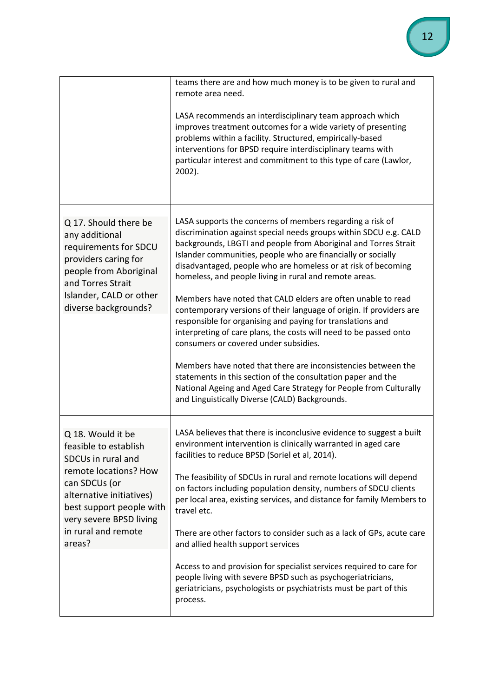|                                                                                                                                                                                                                                | teams there are and how much money is to be given to rural and<br>remote area need.<br>LASA recommends an interdisciplinary team approach which<br>improves treatment outcomes for a wide variety of presenting<br>problems within a facility. Structured, empirically-based<br>interventions for BPSD require interdisciplinary teams with<br>particular interest and commitment to this type of care (Lawlor,<br>2002).                                                                                                                                                                                                                                                                                                                                                                                                                                                                                                                                               |
|--------------------------------------------------------------------------------------------------------------------------------------------------------------------------------------------------------------------------------|-------------------------------------------------------------------------------------------------------------------------------------------------------------------------------------------------------------------------------------------------------------------------------------------------------------------------------------------------------------------------------------------------------------------------------------------------------------------------------------------------------------------------------------------------------------------------------------------------------------------------------------------------------------------------------------------------------------------------------------------------------------------------------------------------------------------------------------------------------------------------------------------------------------------------------------------------------------------------|
| Q 17. Should there be<br>any additional<br>requirements for SDCU<br>providers caring for<br>people from Aboriginal<br>and Torres Strait<br>Islander, CALD or other<br>diverse backgrounds?                                     | LASA supports the concerns of members regarding a risk of<br>discrimination against special needs groups within SDCU e.g. CALD<br>backgrounds, LBGTI and people from Aboriginal and Torres Strait<br>Islander communities, people who are financially or socially<br>disadvantaged, people who are homeless or at risk of becoming<br>homeless, and people living in rural and remote areas.<br>Members have noted that CALD elders are often unable to read<br>contemporary versions of their language of origin. If providers are<br>responsible for organising and paying for translations and<br>interpreting of care plans, the costs will need to be passed onto<br>consumers or covered under subsidies.<br>Members have noted that there are inconsistencies between the<br>statements in this section of the consultation paper and the<br>National Ageing and Aged Care Strategy for People from Culturally<br>and Linguistically Diverse (CALD) Backgrounds. |
| Q 18. Would it be<br>feasible to establish<br>SDCUs in rural and<br>remote locations? How<br>can SDCUs (or<br>alternative initiatives)<br>best support people with<br>very severe BPSD living<br>in rural and remote<br>areas? | LASA believes that there is inconclusive evidence to suggest a built<br>environment intervention is clinically warranted in aged care<br>facilities to reduce BPSD (Soriel et al, 2014).<br>The feasibility of SDCUs in rural and remote locations will depend<br>on factors including population density, numbers of SDCU clients<br>per local area, existing services, and distance for family Members to<br>travel etc.<br>There are other factors to consider such as a lack of GPs, acute care<br>and allied health support services                                                                                                                                                                                                                                                                                                                                                                                                                               |
|                                                                                                                                                                                                                                | Access to and provision for specialist services required to care for<br>people living with severe BPSD such as psychogeriatricians,<br>geriatricians, psychologists or psychiatrists must be part of this<br>process.                                                                                                                                                                                                                                                                                                                                                                                                                                                                                                                                                                                                                                                                                                                                                   |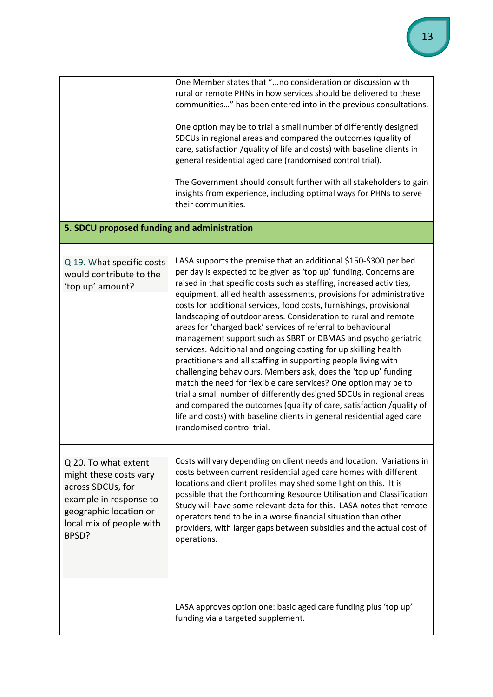|                                                                                                                                                              | One Member states that "no consideration or discussion with<br>rural or remote PHNs in how services should be delivered to these<br>communities" has been entered into in the previous consultations.<br>One option may be to trial a small number of differently designed<br>SDCUs in regional areas and compared the outcomes (quality of<br>care, satisfaction /quality of life and costs) with baseline clients in                                                                                                                                                                                                                                                                                                                                                                                                                                                                                                                                                                                                                                                                               |  |
|--------------------------------------------------------------------------------------------------------------------------------------------------------------|------------------------------------------------------------------------------------------------------------------------------------------------------------------------------------------------------------------------------------------------------------------------------------------------------------------------------------------------------------------------------------------------------------------------------------------------------------------------------------------------------------------------------------------------------------------------------------------------------------------------------------------------------------------------------------------------------------------------------------------------------------------------------------------------------------------------------------------------------------------------------------------------------------------------------------------------------------------------------------------------------------------------------------------------------------------------------------------------------|--|
|                                                                                                                                                              | general residential aged care (randomised control trial).<br>The Government should consult further with all stakeholders to gain<br>insights from experience, including optimal ways for PHNs to serve<br>their communities.                                                                                                                                                                                                                                                                                                                                                                                                                                                                                                                                                                                                                                                                                                                                                                                                                                                                         |  |
| 5. SDCU proposed funding and administration                                                                                                                  |                                                                                                                                                                                                                                                                                                                                                                                                                                                                                                                                                                                                                                                                                                                                                                                                                                                                                                                                                                                                                                                                                                      |  |
| Q 19. What specific costs<br>would contribute to the<br>'top up' amount?                                                                                     | LASA supports the premise that an additional \$150-\$300 per bed<br>per day is expected to be given as 'top up' funding. Concerns are<br>raised in that specific costs such as staffing, increased activities,<br>equipment, allied health assessments, provisions for administrative<br>costs for additional services, food costs, furnishings, provisional<br>landscaping of outdoor areas. Consideration to rural and remote<br>areas for 'charged back' services of referral to behavioural<br>management support such as SBRT or DBMAS and psycho geriatric<br>services. Additional and ongoing costing for up skilling health<br>practitioners and all staffing in supporting people living with<br>challenging behaviours. Members ask, does the 'top up' funding<br>match the need for flexible care services? One option may be to<br>trial a small number of differently designed SDCUs in regional areas<br>and compared the outcomes (quality of care, satisfaction / quality of<br>life and costs) with baseline clients in general residential aged care<br>(randomised control trial. |  |
| Q 20. To what extent<br>might these costs vary<br>across SDCUs, for<br>example in response to<br>geographic location or<br>local mix of people with<br>BPSD? | Costs will vary depending on client needs and location. Variations in<br>costs between current residential aged care homes with different<br>locations and client profiles may shed some light on this. It is<br>possible that the forthcoming Resource Utilisation and Classification<br>Study will have some relevant data for this. LASA notes that remote<br>operators tend to be in a worse financial situation than other<br>providers, with larger gaps between subsidies and the actual cost of<br>operations.                                                                                                                                                                                                                                                                                                                                                                                                                                                                                                                                                                               |  |
|                                                                                                                                                              | LASA approves option one: basic aged care funding plus 'top up'<br>funding via a targeted supplement.                                                                                                                                                                                                                                                                                                                                                                                                                                                                                                                                                                                                                                                                                                                                                                                                                                                                                                                                                                                                |  |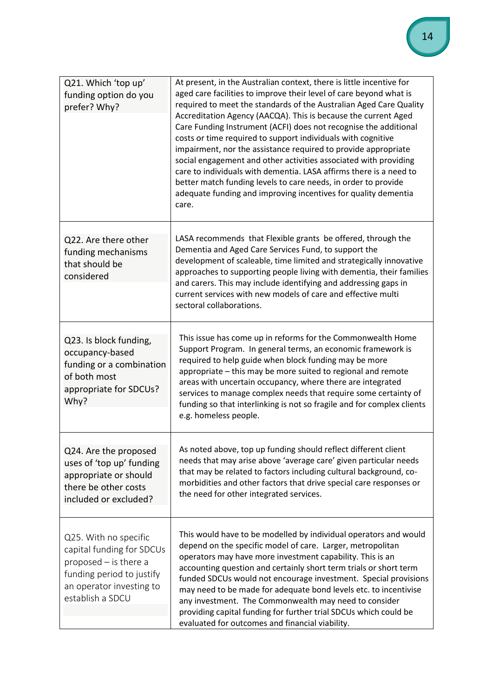| Q21. Which 'top up'<br>funding option do you<br>prefer? Why?                                                                                               | At present, in the Australian context, there is little incentive for<br>aged care facilities to improve their level of care beyond what is<br>required to meet the standards of the Australian Aged Care Quality<br>Accreditation Agency (AACQA). This is because the current Aged<br>Care Funding Instrument (ACFI) does not recognise the additional<br>costs or time required to support individuals with cognitive<br>impairment, nor the assistance required to provide appropriate<br>social engagement and other activities associated with providing<br>care to individuals with dementia. LASA affirms there is a need to<br>better match funding levels to care needs, in order to provide<br>adequate funding and improving incentives for quality dementia<br>care. |
|------------------------------------------------------------------------------------------------------------------------------------------------------------|---------------------------------------------------------------------------------------------------------------------------------------------------------------------------------------------------------------------------------------------------------------------------------------------------------------------------------------------------------------------------------------------------------------------------------------------------------------------------------------------------------------------------------------------------------------------------------------------------------------------------------------------------------------------------------------------------------------------------------------------------------------------------------|
| Q22. Are there other<br>funding mechanisms<br>that should be<br>considered                                                                                 | LASA recommends that Flexible grants be offered, through the<br>Dementia and Aged Care Services Fund, to support the<br>development of scaleable, time limited and strategically innovative<br>approaches to supporting people living with dementia, their families<br>and carers. This may include identifying and addressing gaps in<br>current services with new models of care and effective multi<br>sectoral collaborations.                                                                                                                                                                                                                                                                                                                                              |
| Q23. Is block funding,<br>occupancy-based<br>funding or a combination<br>of both most<br>appropriate for SDCUs?<br>Why?                                    | This issue has come up in reforms for the Commonwealth Home<br>Support Program. In general terms, an economic framework is<br>required to help guide when block funding may be more<br>appropriate – this may be more suited to regional and remote<br>areas with uncertain occupancy, where there are integrated<br>services to manage complex needs that require some certainty of<br>funding so that interlinking is not so fragile and for complex clients<br>e.g. homeless people.                                                                                                                                                                                                                                                                                         |
| Q24. Are the proposed<br>uses of 'top up' funding<br>appropriate or should<br>there be other costs<br>included or excluded?                                | As noted above, top up funding should reflect different client<br>needs that may arise above 'average care' given particular needs<br>that may be related to factors including cultural background, co-<br>morbidities and other factors that drive special care responses or<br>the need for other integrated services.                                                                                                                                                                                                                                                                                                                                                                                                                                                        |
| Q25. With no specific<br>capital funding for SDCUs<br>proposed $-$ is there a<br>funding period to justify<br>an operator investing to<br>establish a SDCU | This would have to be modelled by individual operators and would<br>depend on the specific model of care. Larger, metropolitan<br>operators may have more investment capability. This is an<br>accounting question and certainly short term trials or short term<br>funded SDCUs would not encourage investment. Special provisions<br>may need to be made for adequate bond levels etc. to incentivise<br>any investment. The Commonwealth may need to consider<br>providing capital funding for further trial SDCUs which could be<br>evaluated for outcomes and financial viability.                                                                                                                                                                                         |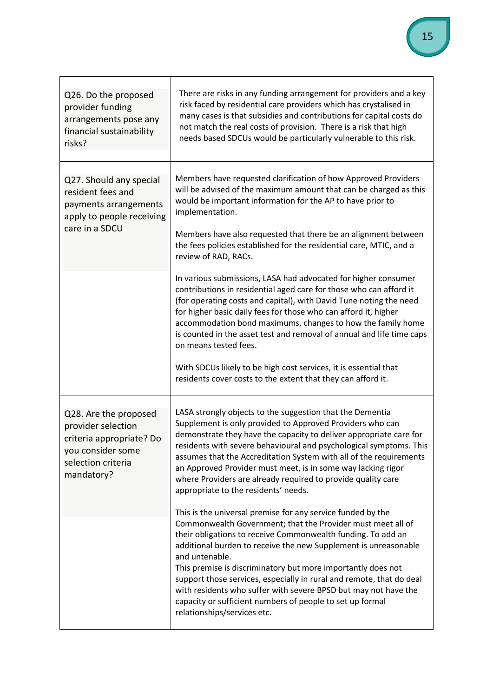| Q26. Do the proposed<br>provider funding<br>arrangements pose any<br>financial sustainability<br>risks?                          | There are risks in any funding arrangement for providers and a key<br>risk faced by residential care providers which has crystalised in<br>many cases is that subsidies and contributions for capital costs do<br>not match the real costs of provision. There is a risk that high<br>needs based SDCUs would be particularly vulnerable to this risk.                                                                                                                                                                                                                                                                                                                                                                                |
|----------------------------------------------------------------------------------------------------------------------------------|---------------------------------------------------------------------------------------------------------------------------------------------------------------------------------------------------------------------------------------------------------------------------------------------------------------------------------------------------------------------------------------------------------------------------------------------------------------------------------------------------------------------------------------------------------------------------------------------------------------------------------------------------------------------------------------------------------------------------------------|
| Q27. Should any special<br>resident fees and<br>payments arrangements<br>apply to people receiving<br>care in a SDCU             | Members have requested clarification of how Approved Providers<br>will be advised of the maximum amount that can be charged as this<br>would be important information for the AP to have prior to<br>implementation.<br>Members have also requested that there be an alignment between<br>the fees policies established for the residential care, MTIC, and a<br>review of RAD, RACs.<br>In various submissions, LASA had advocated for higher consumer<br>contributions in residential aged care for those who can afford it<br>(for operating costs and capital), with David Tune noting the need<br>for higher basic daily fees for those who can afford it, higher<br>accommodation bond maximums, changes to how the family home |
|                                                                                                                                  | is counted in the asset test and removal of annual and life time caps<br>on means tested fees.<br>With SDCUs likely to be high cost services, it is essential that<br>residents cover costs to the extent that they can afford it.                                                                                                                                                                                                                                                                                                                                                                                                                                                                                                    |
| Q28. Are the proposed<br>provider selection<br>criteria appropriate? Do<br>you consider some<br>selection criteria<br>mandatory? | LASA strongly objects to the suggestion that the Dementia<br>Supplement is only provided to Approved Providers who can<br>demonstrate they have the capacity to deliver appropriate care for<br>residents with severe behavioural and psychological symptoms. This<br>assumes that the Accreditation System with all of the requirements<br>an Approved Provider must meet, is in some way lacking rigor<br>where Providers are already required to provide quality care<br>appropriate to the residents' needs.                                                                                                                                                                                                                      |
|                                                                                                                                  | This is the universal premise for any service funded by the<br>Commonwealth Government; that the Provider must meet all of<br>their obligations to receive Commonwealth funding. To add an<br>additional burden to receive the new Supplement is unreasonable<br>and untenable.<br>This premise is discriminatory but more importantly does not<br>support those services, especially in rural and remote, that do deal<br>with residents who suffer with severe BPSD but may not have the<br>capacity or sufficient numbers of people to set up formal<br>relationships/services etc.                                                                                                                                                |